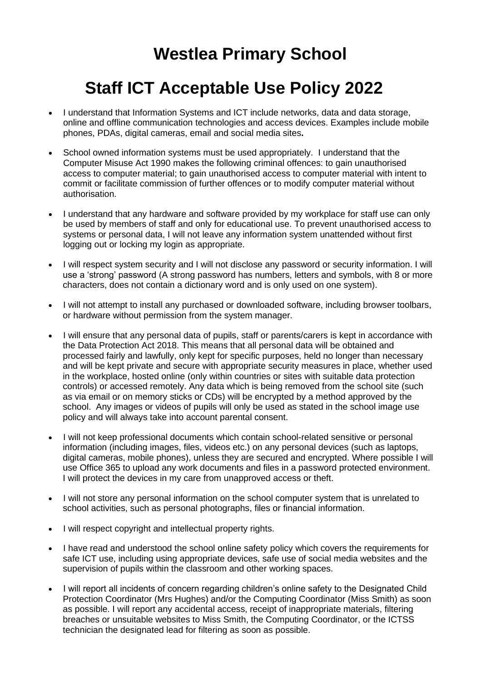## **Westlea Primary School**

## **Staff ICT Acceptable Use Policy 2022**

- I understand that Information Systems and ICT include networks, data and data storage, online and offline communication technologies and access devices. Examples include mobile phones, PDAs, digital cameras, email and social media sites**.**
- School owned information systems must be used appropriately. I understand that the Computer Misuse Act 1990 makes the following criminal offences: to gain unauthorised access to computer material; to gain unauthorised access to computer material with intent to commit or facilitate commission of further offences or to modify computer material without authorisation.
- I understand that any hardware and software provided by my workplace for staff use can only be used by members of staff and only for educational use. To prevent unauthorised access to systems or personal data, I will not leave any information system unattended without first logging out or locking my login as appropriate.
- I will respect system security and I will not disclose any password or security information. I will use a 'strong' password (A strong password has numbers, letters and symbols, with 8 or more characters, does not contain a dictionary word and is only used on one system).
- I will not attempt to install any purchased or downloaded software, including browser toolbars, or hardware without permission from the system manager.
- I will ensure that any personal data of pupils, staff or parents/carers is kept in accordance with the Data Protection Act 2018. This means that all personal data will be obtained and processed fairly and lawfully, only kept for specific purposes, held no longer than necessary and will be kept private and secure with appropriate security measures in place, whether used in the workplace, hosted online (only within countries or sites with suitable data protection controls) or accessed remotely. Any data which is being removed from the school site (such as via email or on memory sticks or CDs) will be encrypted by a method approved by the school. Any images or videos of pupils will only be used as stated in the school image use policy and will always take into account parental consent.
- I will not keep professional documents which contain school-related sensitive or personal information (including images, files, videos etc.) on any personal devices (such as laptops, digital cameras, mobile phones), unless they are secured and encrypted. Where possible I will use Office 365 to upload any work documents and files in a password protected environment. I will protect the devices in my care from unapproved access or theft.
- I will not store any personal information on the school computer system that is unrelated to school activities, such as personal photographs, files or financial information.
- I will respect copyright and intellectual property rights.
- I have read and understood the school online safety policy which covers the requirements for safe ICT use, including using appropriate devices, safe use of social media websites and the supervision of pupils within the classroom and other working spaces.
- I will report all incidents of concern regarding children's online safety to the Designated Child Protection Coordinator (Mrs Hughes) and/or the Computing Coordinator (Miss Smith) as soon as possible. I will report any accidental access, receipt of inappropriate materials, filtering breaches or unsuitable websites to Miss Smith, the Computing Coordinator, or the ICTSS technician the designated lead for filtering as soon as possible.